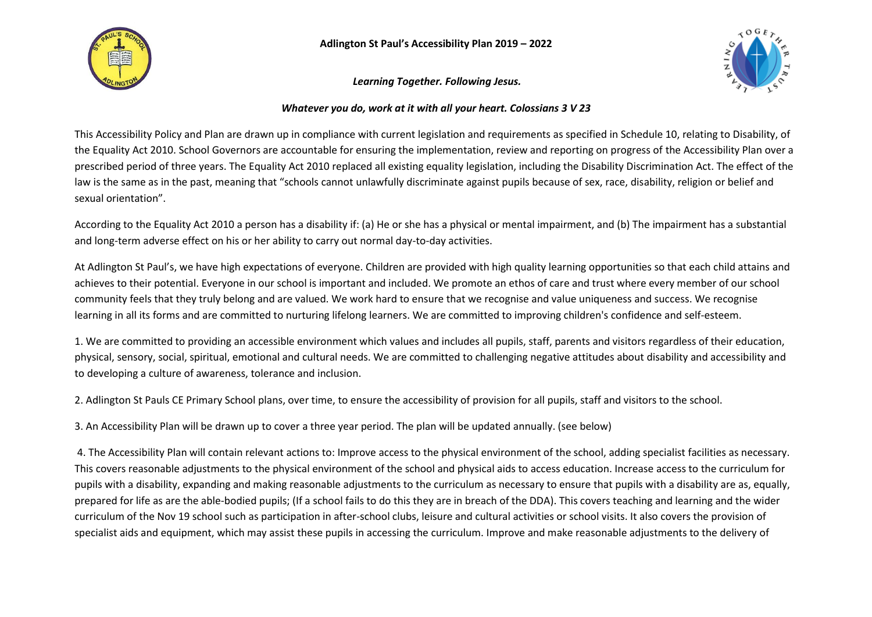

**Adlington St Paul's Accessibility Plan 2019 – 2022**

*Learning Together. Following Jesus.*



## *Whatever you do, work at it with all your heart. Colossians 3 V 23*

This Accessibility Policy and Plan are drawn up in compliance with current legislation and requirements as specified in Schedule 10, relating to Disability, of the Equality Act 2010. School Governors are accountable for ensuring the implementation, review and reporting on progress of the Accessibility Plan over a prescribed period of three years. The Equality Act 2010 replaced all existing equality legislation, including the Disability Discrimination Act. The effect of the law is the same as in the past, meaning that "schools cannot unlawfully discriminate against pupils because of sex, race, disability, religion or belief and sexual orientation".

According to the Equality Act 2010 a person has a disability if: (a) He or she has a physical or mental impairment, and (b) The impairment has a substantial and long-term adverse effect on his or her ability to carry out normal day-to-day activities.

At Adlington St Paul's, we have high expectations of everyone. Children are provided with high quality learning opportunities so that each child attains and achieves to their potential. Everyone in our school is important and included. We promote an ethos of care and trust where every member of our school community feels that they truly belong and are valued. We work hard to ensure that we recognise and value uniqueness and success. We recognise learning in all its forms and are committed to nurturing lifelong learners. We are committed to improving children's confidence and self-esteem.

1. We are committed to providing an accessible environment which values and includes all pupils, staff, parents and visitors regardless of their education, physical, sensory, social, spiritual, emotional and cultural needs. We are committed to challenging negative attitudes about disability and accessibility and to developing a culture of awareness, tolerance and inclusion.

2. Adlington St Pauls CE Primary School plans, over time, to ensure the accessibility of provision for all pupils, staff and visitors to the school.

3. An Accessibility Plan will be drawn up to cover a three year period. The plan will be updated annually. (see below)

4. The Accessibility Plan will contain relevant actions to: Improve access to the physical environment of the school, adding specialist facilities as necessary. This covers reasonable adjustments to the physical environment of the school and physical aids to access education. Increase access to the curriculum for pupils with a disability, expanding and making reasonable adjustments to the curriculum as necessary to ensure that pupils with a disability are as, equally, prepared for life as are the able-bodied pupils; (If a school fails to do this they are in breach of the DDA). This covers teaching and learning and the wider curriculum of the Nov 19 school such as participation in after-school clubs, leisure and cultural activities or school visits. It also covers the provision of specialist aids and equipment, which may assist these pupils in accessing the curriculum. Improve and make reasonable adjustments to the delivery of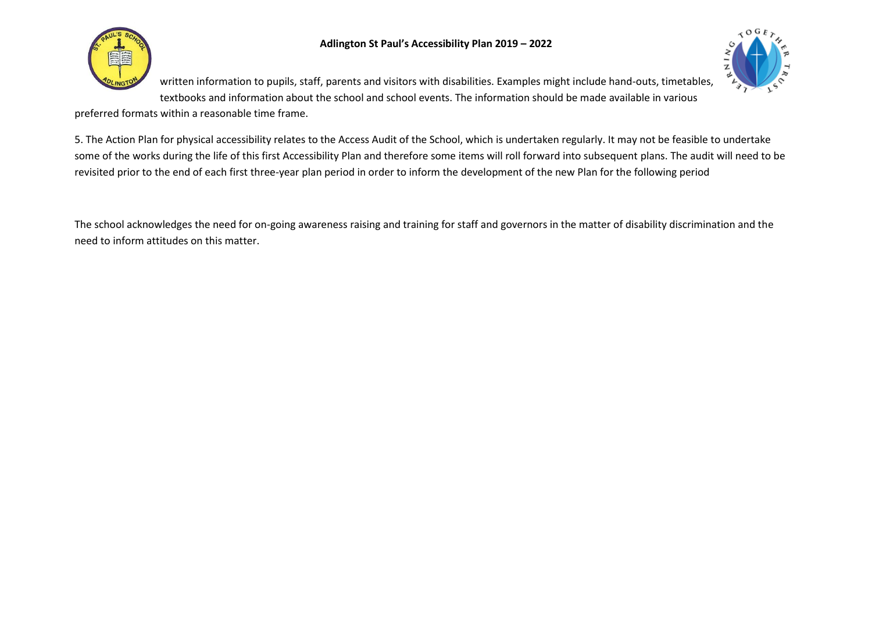



written information to pupils, staff, parents and visitors with disabilities. Examples might include hand-outs, timetables, textbooks and information about the school and school events. The information should be made available in various

preferred formats within a reasonable time frame.

5. The Action Plan for physical accessibility relates to the Access Audit of the School, which is undertaken regularly. It may not be feasible to undertake some of the works during the life of this first Accessibility Plan and therefore some items will roll forward into subsequent plans. The audit will need to be revisited prior to the end of each first three-year plan period in order to inform the development of the new Plan for the following period

The school acknowledges the need for on-going awareness raising and training for staff and governors in the matter of disability discrimination and the need to inform attitudes on this matter.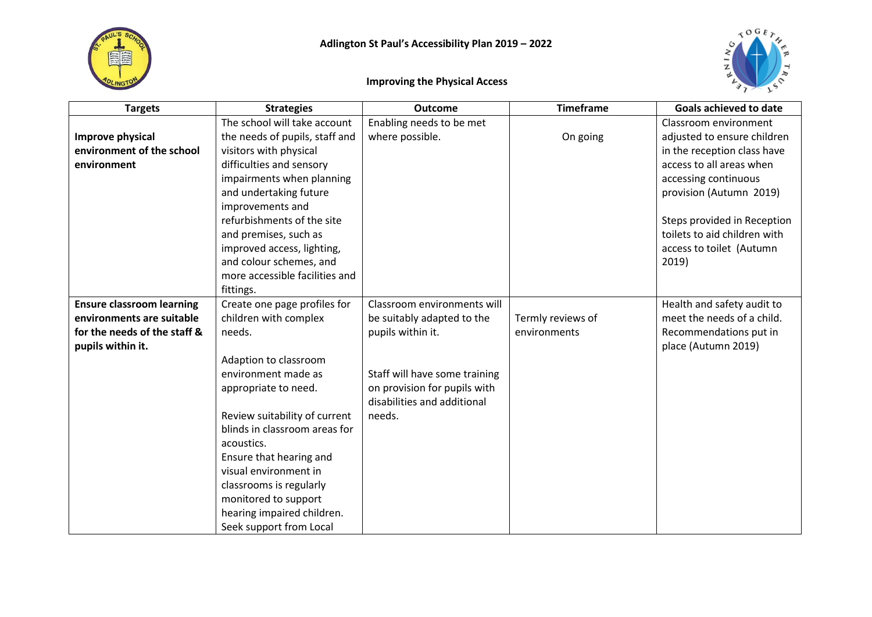



## **Improving the Physical Access**

| <b>Targets</b>                   | <b>Strategies</b>              | <b>Outcome</b>                | <b>Timeframe</b>  | <b>Goals achieved to date</b> |
|----------------------------------|--------------------------------|-------------------------------|-------------------|-------------------------------|
|                                  | The school will take account   | Enabling needs to be met      |                   | Classroom environment         |
| Improve physical                 | the needs of pupils, staff and | where possible.               | On going          | adjusted to ensure children   |
| environment of the school        | visitors with physical         |                               |                   | in the reception class have   |
| environment                      | difficulties and sensory       |                               |                   | access to all areas when      |
|                                  | impairments when planning      |                               |                   | accessing continuous          |
|                                  | and undertaking future         |                               |                   | provision (Autumn 2019)       |
|                                  | improvements and               |                               |                   |                               |
|                                  | refurbishments of the site     |                               |                   | Steps provided in Reception   |
|                                  | and premises, such as          |                               |                   | toilets to aid children with  |
|                                  | improved access, lighting,     |                               |                   | access to toilet (Autumn      |
|                                  | and colour schemes, and        |                               |                   | 2019)                         |
|                                  | more accessible facilities and |                               |                   |                               |
|                                  | fittings.                      |                               |                   |                               |
| <b>Ensure classroom learning</b> | Create one page profiles for   | Classroom environments will   |                   | Health and safety audit to    |
| environments are suitable        | children with complex          | be suitably adapted to the    | Termly reviews of | meet the needs of a child.    |
| for the needs of the staff &     | needs.                         | pupils within it.             | environments      | Recommendations put in        |
| pupils within it.                |                                |                               |                   | place (Autumn 2019)           |
|                                  | Adaption to classroom          |                               |                   |                               |
|                                  | environment made as            | Staff will have some training |                   |                               |
|                                  | appropriate to need.           | on provision for pupils with  |                   |                               |
|                                  |                                | disabilities and additional   |                   |                               |
|                                  | Review suitability of current  | needs.                        |                   |                               |
|                                  | blinds in classroom areas for  |                               |                   |                               |
|                                  | acoustics.                     |                               |                   |                               |
|                                  | Ensure that hearing and        |                               |                   |                               |
|                                  | visual environment in          |                               |                   |                               |
|                                  | classrooms is regularly        |                               |                   |                               |
|                                  | monitored to support           |                               |                   |                               |
|                                  | hearing impaired children.     |                               |                   |                               |
|                                  | Seek support from Local        |                               |                   |                               |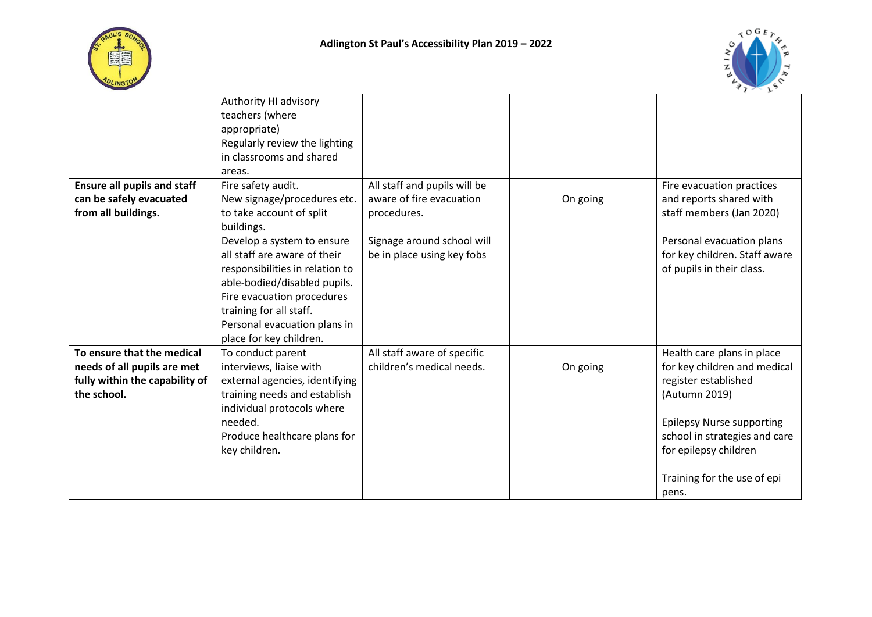



|                                    | Authority HI advisory<br>teachers (where<br>appropriate)<br>Regularly review the lighting |                              |          |                                  |
|------------------------------------|-------------------------------------------------------------------------------------------|------------------------------|----------|----------------------------------|
|                                    | in classrooms and shared                                                                  |                              |          |                                  |
|                                    | areas.                                                                                    |                              |          |                                  |
| <b>Ensure all pupils and staff</b> | Fire safety audit.                                                                        | All staff and pupils will be |          | Fire evacuation practices        |
| can be safely evacuated            | New signage/procedures etc.                                                               | aware of fire evacuation     | On going | and reports shared with          |
| from all buildings.                | to take account of split                                                                  | procedures.                  |          | staff members (Jan 2020)         |
|                                    | buildings.                                                                                |                              |          |                                  |
|                                    | Develop a system to ensure                                                                | Signage around school will   |          | Personal evacuation plans        |
|                                    | all staff are aware of their                                                              | be in place using key fobs   |          | for key children. Staff aware    |
|                                    | responsibilities in relation to                                                           |                              |          | of pupils in their class.        |
|                                    | able-bodied/disabled pupils.                                                              |                              |          |                                  |
|                                    | Fire evacuation procedures<br>training for all staff.                                     |                              |          |                                  |
|                                    | Personal evacuation plans in                                                              |                              |          |                                  |
|                                    | place for key children.                                                                   |                              |          |                                  |
| To ensure that the medical         | To conduct parent                                                                         | All staff aware of specific  |          | Health care plans in place       |
| needs of all pupils are met        | interviews, liaise with                                                                   | children's medical needs.    | On going | for key children and medical     |
| fully within the capability of     | external agencies, identifying                                                            |                              |          | register established             |
| the school.                        | training needs and establish                                                              |                              |          | (Autumn 2019)                    |
|                                    | individual protocols where                                                                |                              |          |                                  |
|                                    | needed.                                                                                   |                              |          | <b>Epilepsy Nurse supporting</b> |
|                                    | Produce healthcare plans for                                                              |                              |          | school in strategies and care    |
|                                    | key children.                                                                             |                              |          | for epilepsy children            |
|                                    |                                                                                           |                              |          |                                  |
|                                    |                                                                                           |                              |          | Training for the use of epi      |
|                                    |                                                                                           |                              |          | pens.                            |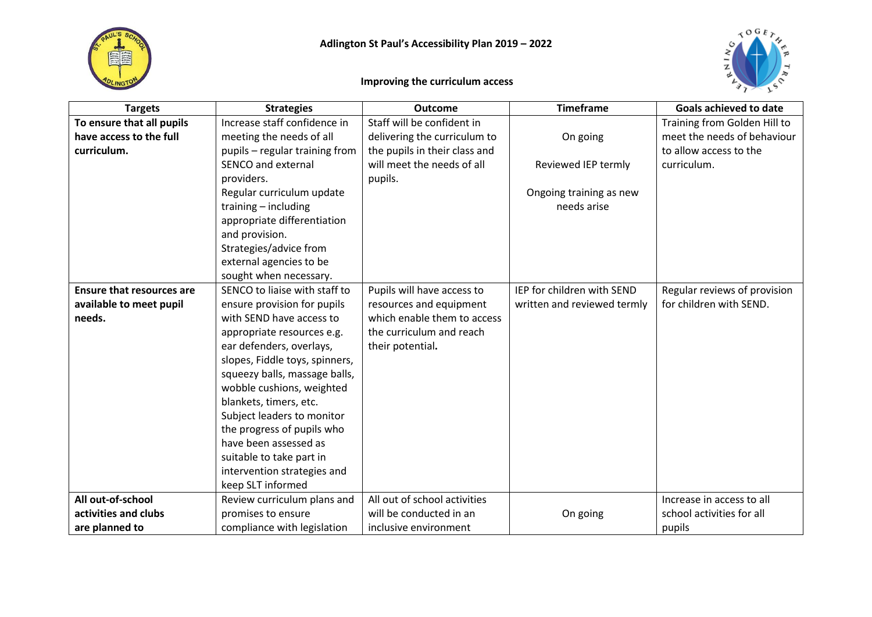



## **Improving the curriculum access**

| <b>Targets</b>                   | <b>Strategies</b>              | <b>Outcome</b>                | <b>Timeframe</b>            | <b>Goals achieved to date</b> |
|----------------------------------|--------------------------------|-------------------------------|-----------------------------|-------------------------------|
| To ensure that all pupils        | Increase staff confidence in   | Staff will be confident in    |                             | Training from Golden Hill to  |
| have access to the full          | meeting the needs of all       | delivering the curriculum to  | On going                    | meet the needs of behaviour   |
| curriculum.                      | pupils - regular training from | the pupils in their class and |                             | to allow access to the        |
|                                  | SENCO and external             | will meet the needs of all    | Reviewed IEP termly         | curriculum.                   |
|                                  | providers.                     | pupils.                       |                             |                               |
|                                  | Regular curriculum update      |                               | Ongoing training as new     |                               |
|                                  | training - including           |                               | needs arise                 |                               |
|                                  | appropriate differentiation    |                               |                             |                               |
|                                  | and provision.                 |                               |                             |                               |
|                                  | Strategies/advice from         |                               |                             |                               |
|                                  | external agencies to be        |                               |                             |                               |
|                                  | sought when necessary.         |                               |                             |                               |
| <b>Ensure that resources are</b> | SENCO to liaise with staff to  | Pupils will have access to    | IEP for children with SEND  | Regular reviews of provision  |
| available to meet pupil          | ensure provision for pupils    | resources and equipment       | written and reviewed termly | for children with SEND.       |
| needs.                           | with SEND have access to       | which enable them to access   |                             |                               |
|                                  | appropriate resources e.g.     | the curriculum and reach      |                             |                               |
|                                  | ear defenders, overlays,       | their potential.              |                             |                               |
|                                  | slopes, Fiddle toys, spinners, |                               |                             |                               |
|                                  | squeezy balls, massage balls,  |                               |                             |                               |
|                                  | wobble cushions, weighted      |                               |                             |                               |
|                                  | blankets, timers, etc.         |                               |                             |                               |
|                                  | Subject leaders to monitor     |                               |                             |                               |
|                                  | the progress of pupils who     |                               |                             |                               |
|                                  | have been assessed as          |                               |                             |                               |
|                                  | suitable to take part in       |                               |                             |                               |
|                                  | intervention strategies and    |                               |                             |                               |
|                                  | keep SLT informed              |                               |                             |                               |
| All out-of-school                | Review curriculum plans and    | All out of school activities  |                             | Increase in access to all     |
| activities and clubs             | promises to ensure             | will be conducted in an       | On going                    | school activities for all     |
| are planned to                   | compliance with legislation    | inclusive environment         |                             | pupils                        |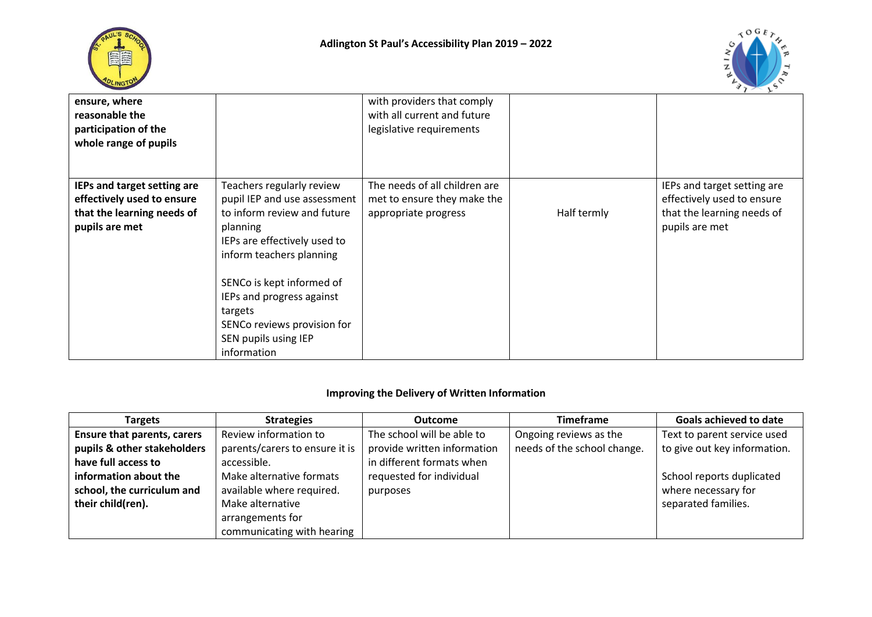



| ensure, where<br>reasonable the<br>participation of the<br>whole range of pupils                          |                                                                                                                                                                                                                                                                                                             | with providers that comply<br>with all current and future<br>legislative requirements |             |                                                                                                           |
|-----------------------------------------------------------------------------------------------------------|-------------------------------------------------------------------------------------------------------------------------------------------------------------------------------------------------------------------------------------------------------------------------------------------------------------|---------------------------------------------------------------------------------------|-------------|-----------------------------------------------------------------------------------------------------------|
| IEPs and target setting are<br>effectively used to ensure<br>that the learning needs of<br>pupils are met | Teachers regularly review<br>pupil IEP and use assessment<br>to inform review and future<br>planning<br>IEPs are effectively used to<br>inform teachers planning<br>SENCo is kept informed of<br>IEPs and progress against<br>targets<br>SENCo reviews provision for<br>SEN pupils using IEP<br>information | The needs of all children are<br>met to ensure they make the<br>appropriate progress  | Half termly | IEPs and target setting are<br>effectively used to ensure<br>that the learning needs of<br>pupils are met |

## **Improving the Delivery of Written Information**

| <b>Targets</b>                     | <b>Strategies</b>              | <b>Outcome</b>              | <b>Timeframe</b>            | <b>Goals achieved to date</b> |
|------------------------------------|--------------------------------|-----------------------------|-----------------------------|-------------------------------|
| <b>Ensure that parents, carers</b> | Review information to          | The school will be able to  | Ongoing reviews as the      | Text to parent service used   |
| pupils & other stakeholders        | parents/carers to ensure it is | provide written information | needs of the school change. | to give out key information.  |
| have full access to                | accessible.                    | in different formats when   |                             |                               |
| information about the              | Make alternative formats       | requested for individual    |                             | School reports duplicated     |
| school, the curriculum and         | available where required.      | purposes                    |                             | where necessary for           |
| their child(ren).                  | Make alternative               |                             |                             | separated families.           |
|                                    | arrangements for               |                             |                             |                               |
|                                    | communicating with hearing     |                             |                             |                               |